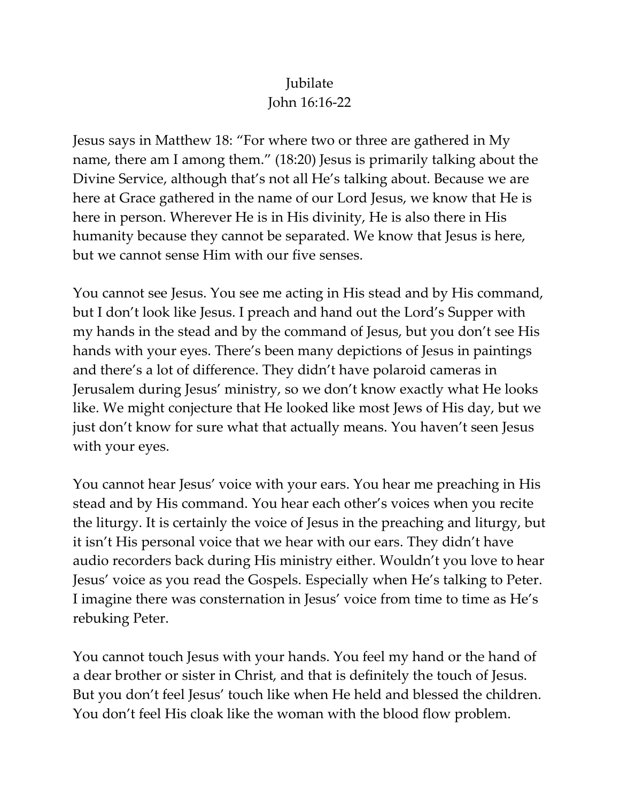## Jubilate John 16:16-22

Jesus says in Matthew 18: "For where two or three are gathered in My name, there am I among them." (18:20) Jesus is primarily talking about the Divine Service, although that's not all He's talking about. Because we are here at Grace gathered in the name of our Lord Jesus, we know that He is here in person. Wherever He is in His divinity, He is also there in His humanity because they cannot be separated. We know that Jesus is here, but we cannot sense Him with our five senses.

You cannot see Jesus. You see me acting in His stead and by His command, but I don't look like Jesus. I preach and hand out the Lord's Supper with my hands in the stead and by the command of Jesus, but you don't see His hands with your eyes. There's been many depictions of Jesus in paintings and there's a lot of difference. They didn't have polaroid cameras in Jerusalem during Jesus' ministry, so we don't know exactly what He looks like. We might conjecture that He looked like most Jews of His day, but we just don't know for sure what that actually means. You haven't seen Jesus with your eyes.

You cannot hear Jesus' voice with your ears. You hear me preaching in His stead and by His command. You hear each other's voices when you recite the liturgy. It is certainly the voice of Jesus in the preaching and liturgy, but it isn't His personal voice that we hear with our ears. They didn't have audio recorders back during His ministry either. Wouldn't you love to hear Jesus' voice as you read the Gospels. Especially when He's talking to Peter. I imagine there was consternation in Jesus' voice from time to time as He's rebuking Peter.

You cannot touch Jesus with your hands. You feel my hand or the hand of a dear brother or sister in Christ, and that is definitely the touch of Jesus. But you don't feel Jesus' touch like when He held and blessed the children. You don't feel His cloak like the woman with the blood flow problem.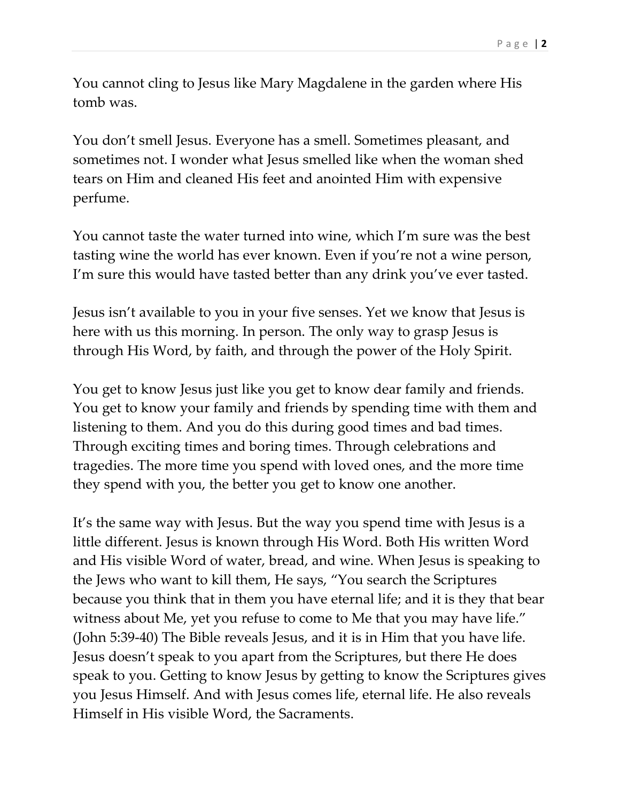You cannot cling to Jesus like Mary Magdalene in the garden where His tomb was.

You don't smell Jesus. Everyone has a smell. Sometimes pleasant, and sometimes not. I wonder what Jesus smelled like when the woman shed tears on Him and cleaned His feet and anointed Him with expensive perfume.

You cannot taste the water turned into wine, which I'm sure was the best tasting wine the world has ever known. Even if you're not a wine person, I'm sure this would have tasted better than any drink you've ever tasted.

Jesus isn't available to you in your five senses. Yet we know that Jesus is here with us this morning. In person. The only way to grasp Jesus is through His Word, by faith, and through the power of the Holy Spirit.

You get to know Jesus just like you get to know dear family and friends. You get to know your family and friends by spending time with them and listening to them. And you do this during good times and bad times. Through exciting times and boring times. Through celebrations and tragedies. The more time you spend with loved ones, and the more time they spend with you, the better you get to know one another.

It's the same way with Jesus. But the way you spend time with Jesus is a little different. Jesus is known through His Word. Both His written Word and His visible Word of water, bread, and wine. When Jesus is speaking to the Jews who want to kill them, He says, "You search the Scriptures because you think that in them you have eternal life; and it is they that bear witness about Me, yet you refuse to come to Me that you may have life." (John 5:39-40) The Bible reveals Jesus, and it is in Him that you have life. Jesus doesn't speak to you apart from the Scriptures, but there He does speak to you. Getting to know Jesus by getting to know the Scriptures gives you Jesus Himself. And with Jesus comes life, eternal life. He also reveals Himself in His visible Word, the Sacraments.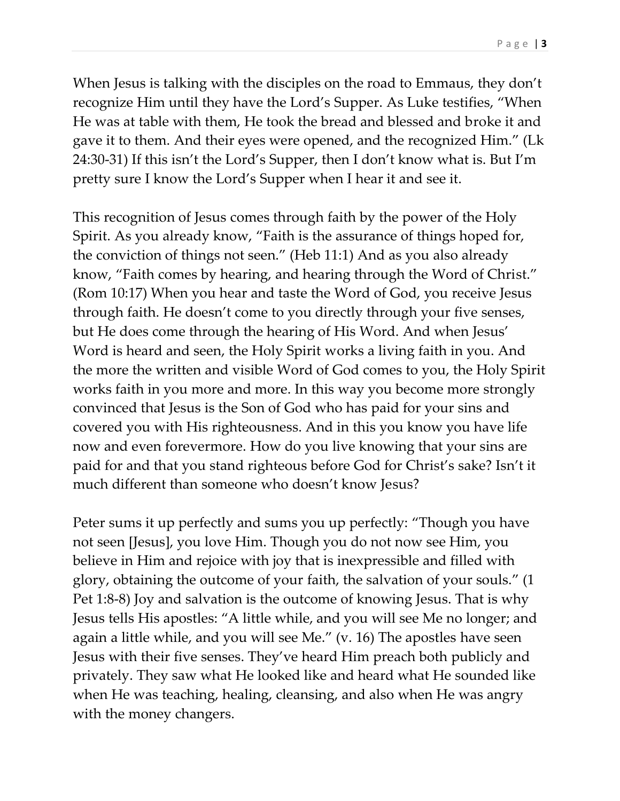When Jesus is talking with the disciples on the road to Emmaus, they don't recognize Him until they have the Lord's Supper. As Luke testifies, "When He was at table with them, He took the bread and blessed and broke it and gave it to them. And their eyes were opened, and the recognized Him." (Lk 24:30-31) If this isn't the Lord's Supper, then I don't know what is. But I'm pretty sure I know the Lord's Supper when I hear it and see it.

This recognition of Jesus comes through faith by the power of the Holy Spirit. As you already know, "Faith is the assurance of things hoped for, the conviction of things not seen." (Heb 11:1) And as you also already know, "Faith comes by hearing, and hearing through the Word of Christ." (Rom 10:17) When you hear and taste the Word of God, you receive Jesus through faith. He doesn't come to you directly through your five senses, but He does come through the hearing of His Word. And when Jesus' Word is heard and seen, the Holy Spirit works a living faith in you. And the more the written and visible Word of God comes to you, the Holy Spirit works faith in you more and more. In this way you become more strongly convinced that Jesus is the Son of God who has paid for your sins and covered you with His righteousness. And in this you know you have life now and even forevermore. How do you live knowing that your sins are paid for and that you stand righteous before God for Christ's sake? Isn't it much different than someone who doesn't know Jesus?

Peter sums it up perfectly and sums you up perfectly: "Though you have not seen [Jesus], you love Him. Though you do not now see Him, you believe in Him and rejoice with joy that is inexpressible and filled with glory, obtaining the outcome of your faith, the salvation of your souls." (1 Pet 1:8-8) Joy and salvation is the outcome of knowing Jesus. That is why Jesus tells His apostles: "A little while, and you will see Me no longer; and again a little while, and you will see Me." (v. 16) The apostles have seen Jesus with their five senses. They've heard Him preach both publicly and privately. They saw what He looked like and heard what He sounded like when He was teaching, healing, cleansing, and also when He was angry with the money changers.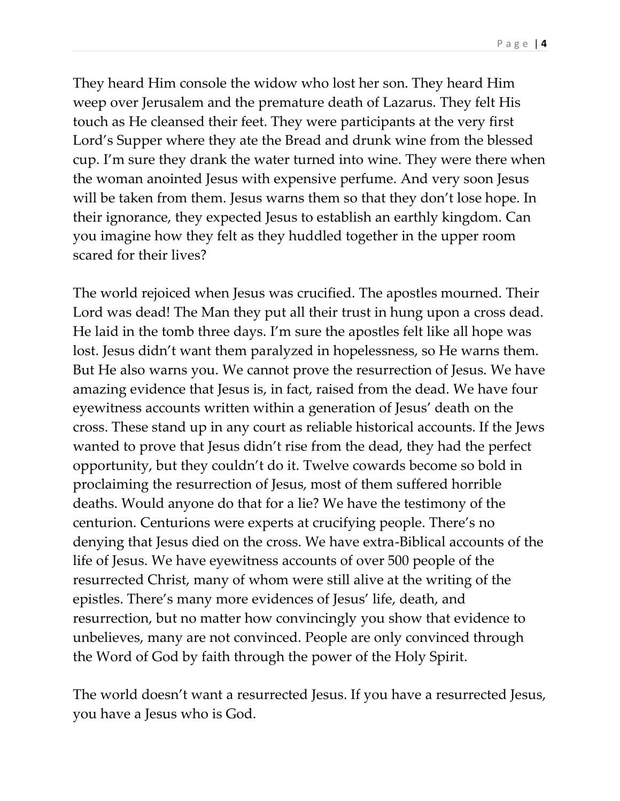They heard Him console the widow who lost her son. They heard Him weep over Jerusalem and the premature death of Lazarus. They felt His touch as He cleansed their feet. They were participants at the very first Lord's Supper where they ate the Bread and drunk wine from the blessed cup. I'm sure they drank the water turned into wine. They were there when the woman anointed Jesus with expensive perfume. And very soon Jesus will be taken from them. Jesus warns them so that they don't lose hope. In their ignorance, they expected Jesus to establish an earthly kingdom. Can you imagine how they felt as they huddled together in the upper room scared for their lives?

The world rejoiced when Jesus was crucified. The apostles mourned. Their Lord was dead! The Man they put all their trust in hung upon a cross dead. He laid in the tomb three days. I'm sure the apostles felt like all hope was lost. Jesus didn't want them paralyzed in hopelessness, so He warns them. But He also warns you. We cannot prove the resurrection of Jesus. We have amazing evidence that Jesus is, in fact, raised from the dead. We have four eyewitness accounts written within a generation of Jesus' death on the cross. These stand up in any court as reliable historical accounts. If the Jews wanted to prove that Jesus didn't rise from the dead, they had the perfect opportunity, but they couldn't do it. Twelve cowards become so bold in proclaiming the resurrection of Jesus, most of them suffered horrible deaths. Would anyone do that for a lie? We have the testimony of the centurion. Centurions were experts at crucifying people. There's no denying that Jesus died on the cross. We have extra-Biblical accounts of the life of Jesus. We have eyewitness accounts of over 500 people of the resurrected Christ, many of whom were still alive at the writing of the epistles. There's many more evidences of Jesus' life, death, and resurrection, but no matter how convincingly you show that evidence to unbelieves, many are not convinced. People are only convinced through the Word of God by faith through the power of the Holy Spirit.

The world doesn't want a resurrected Jesus. If you have a resurrected Jesus, you have a Jesus who is God.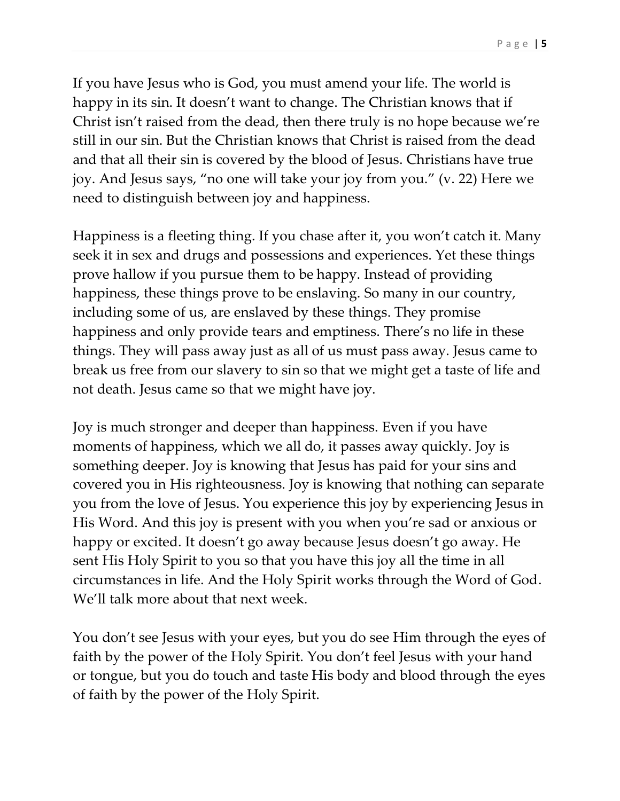If you have Jesus who is God, you must amend your life. The world is happy in its sin. It doesn't want to change. The Christian knows that if Christ isn't raised from the dead, then there truly is no hope because we're still in our sin. But the Christian knows that Christ is raised from the dead and that all their sin is covered by the blood of Jesus. Christians have true joy. And Jesus says, "no one will take your joy from you." (v. 22) Here we need to distinguish between joy and happiness.

Happiness is a fleeting thing. If you chase after it, you won't catch it. Many seek it in sex and drugs and possessions and experiences. Yet these things prove hallow if you pursue them to be happy. Instead of providing happiness, these things prove to be enslaving. So many in our country, including some of us, are enslaved by these things. They promise happiness and only provide tears and emptiness. There's no life in these things. They will pass away just as all of us must pass away. Jesus came to break us free from our slavery to sin so that we might get a taste of life and not death. Jesus came so that we might have joy.

Joy is much stronger and deeper than happiness. Even if you have moments of happiness, which we all do, it passes away quickly. Joy is something deeper. Joy is knowing that Jesus has paid for your sins and covered you in His righteousness. Joy is knowing that nothing can separate you from the love of Jesus. You experience this joy by experiencing Jesus in His Word. And this joy is present with you when you're sad or anxious or happy or excited. It doesn't go away because Jesus doesn't go away. He sent His Holy Spirit to you so that you have this joy all the time in all circumstances in life. And the Holy Spirit works through the Word of God. We'll talk more about that next week.

You don't see Jesus with your eyes, but you do see Him through the eyes of faith by the power of the Holy Spirit. You don't feel Jesus with your hand or tongue, but you do touch and taste His body and blood through the eyes of faith by the power of the Holy Spirit.